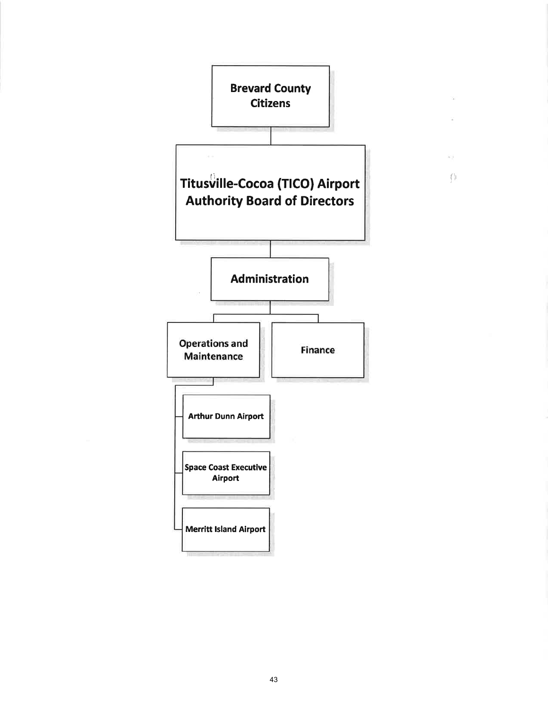

 $\langle \rangle$ 

 $\frac{1}{2}$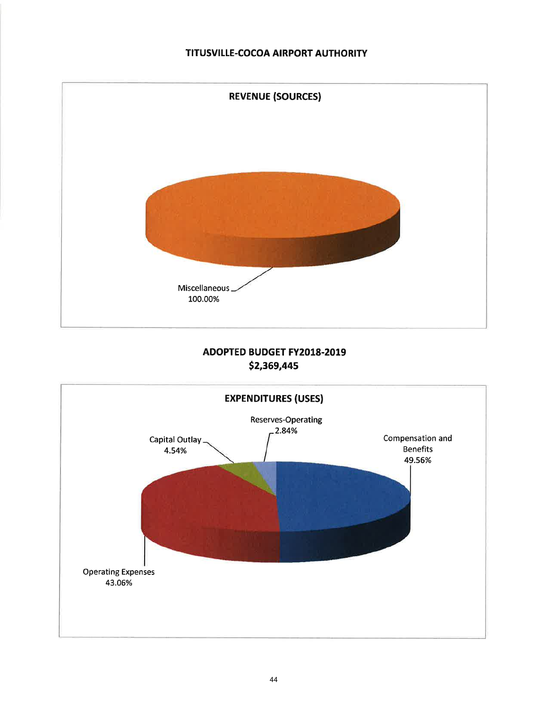## TITUSVILLE-COCOA AIRPORT AUTHORITY



# **ADOPTED BUDGET FY2018-2019** \$2,369,445

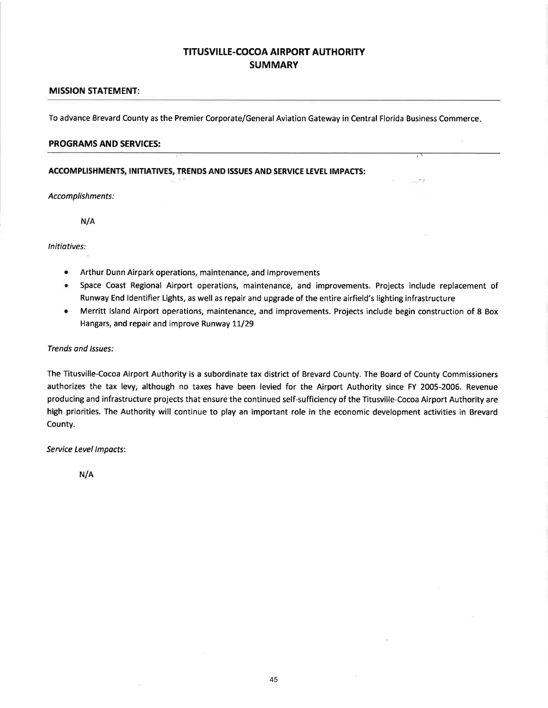## **TITUSVILLE-COCOA AIRPORT AUTHORITY SUMMARY**

### MISSION STATEMENT:

To advance Brevard County as the Premier Corporate/General Aviation Gateway in Central Florida Business Commerce

#### PROGRAMS AND SERVICES:

#### ACCOMPLISHMENTS, INITIATIVES, TRENDS AND ISSUES AND SERVICE LEVEL IMPACTS:

Accomplishments:

N/A

lnitiatives:

- o Arthur Dunn Airpark operations, maintenance, and improvements
- . Space Coast Regional Airport operations, maintenance, and improvements. Projects include replacement of Runway End Identifier Lights, as well as repair and upgrade of the entire airfield's lighting infrastructure

over

o Merritt lsland Airport operations, maintenance, and improvements. Projects include begin construction of 8 Box Hangars, and repair and improve Runway 11/29

#### Trends and lssues:

The Titusville-Cocoa Airport Authority is a subordinate tax district of Brevard County. The Board of County Commissioners authorizes the tax levy, although no taxes have been levied for the Airport Authority since FY 2005-2006. Revenue producing and infrastructure projects that ensure the continued self-sufficiency of the Titusville-Cocoa Airport Authority are high priorities. The Authority will continue to play an important role in the economic development activities in Brevard County.

Seruice Level lmpocts:

N/A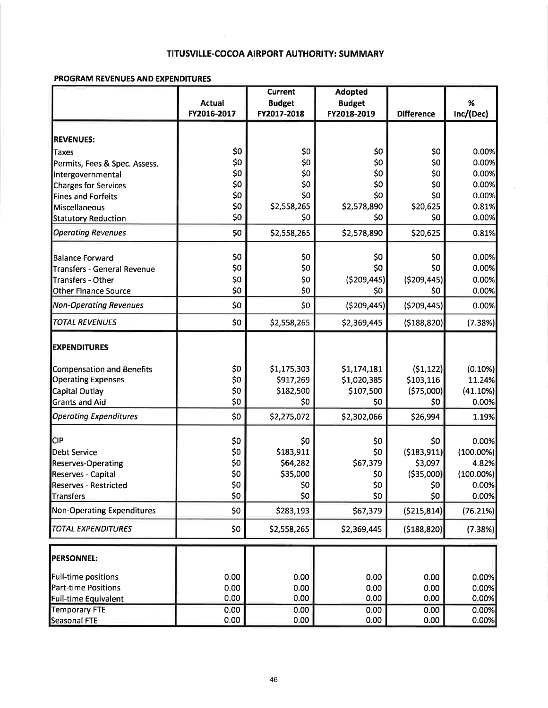### TITUSVILLE-COCOA AIRPORT AUTHORITY: SUMMARY

#### PROGRAM REVENUES AND EXPENDITURES

|                                  | <b>Current</b> |               | <b>Adopted</b> |                   |              |
|----------------------------------|----------------|---------------|----------------|-------------------|--------------|
|                                  | <b>Actual</b>  | <b>Budget</b> | <b>Budget</b>  |                   | %            |
|                                  | FY2016-2017    | FY2017-2018   | FY2018-2019    | <b>Difference</b> | Inc/(Dec)    |
|                                  |                |               |                |                   |              |
| <b>REVENUES:</b>                 |                |               |                |                   |              |
| Taxes                            | \$0            | \$0           | \$0            | \$0               | 0.00%        |
| Permits, Fees & Spec. Assess.    | \$0            | \$0           | \$0            | \$0               | 0.00%        |
| Intergovernmental                | \$0            | \$0           | \$0            | \$0               | 0.00%        |
| Charges for Services             | \$0            | \$0           | \$0            | \$0               | 0.00%        |
| Fines and Forfeits               | \$0            | \$0           | \$0            | \$0               | 0.00%        |
| Miscellaneous                    | \$0            | \$2,558,265   | \$2,578,890    | \$20,625          | 0.81%        |
| <b>Statutory Reduction</b>       | \$0            | \$0           | \$0            | \$0               | 0.00%        |
| <b>Operating Revenues</b>        | \$0            | \$2,558,265   | \$2,578,890    | \$20,625          | 0.81%        |
| <b>Balance Forward</b>           | \$0            | \$0           | \$0            | \$0               | 0.00%        |
| Transfers - General Revenue      | \$0            | \$0           | \$0            | \$0               | 0.00%        |
| Transfers - Other                | \$0            | \$0           | (5209, 445)    | ( \$209, 445)     | 0.00%        |
| Other Finance Source             | \$0            | \$0           | \$0            | \$0               | 0.00%        |
| <b>Non-Operating Revenues</b>    | \$0            | \$0           | (5209, 445)    | ( \$209, 445)     | 0.00%        |
|                                  |                |               |                |                   |              |
| <b>TOTAL REVENUES</b>            | \$0            | \$2,558,265   | \$2,369,445    | ( \$188, 820]     | (7.38%)      |
| <b>EXPENDITURES</b>              |                |               |                |                   |              |
| <b>Compensation and Benefits</b> | \$0            | \$1,175,303   | \$1,174,181    | (51, 122)         | (0.10%)      |
| <b>Operating Expenses</b>        | \$0            | \$917,269     | \$1,020,385    | \$103,116         | 11.24%       |
| Capital Outlay                   | \$0            | \$182,500     | \$107,500      | (575,000)         | $(41.10\%)$  |
| <b>Grants and Aid</b>            | \$0            | \$0           | \$0            | \$0               | 0.00%        |
| <b>Operating Expenditures</b>    | \$0            | \$2,275,072   | \$2,302,066    | \$26,994          | 1.19%        |
| <b>CIP</b>                       |                |               |                |                   |              |
|                                  | \$0            | \$0           | \$0            | \$0               | 0.00%        |
| Debt Service                     | \$0            | \$183,911     | \$0            | ( \$183, 911]     | $(100.00\%)$ |
| Reserves-Operating               | \$0            | \$64,282      | \$67,379       | \$3,097           | 4.82%        |
| Reserves - Capital               | \$0            | \$35,000      | \$0            | ( \$35,000]       | $(100.00\%)$ |
| Reserves - Restricted            | \$0            | \$0           | \$0            | \$0               | 0.00%        |
| Transfers                        | \$0            | \$0           | \$0            | \$0               | 0.00%        |
| Non-Operating Expenditures       | \$0            | \$283,193     | \$67,379       | ( \$215, 814]     | (76.21%)     |
| <b>TOTAL EXPENDITURES</b>        | \$0            | \$2,558,265   | \$2,369,445    | ( \$188, 820]     | (7.38%)      |
| <b>PERSONNEL:</b>                |                |               |                |                   |              |
| <b>Full-time positions</b>       | 0.00           | 0.00          | 0.00           | 0.00              | 0.00%        |
| <b>Part-time Positions</b>       | 0.00           | 0.00          | 0.00           | 0.00              | 0.00%        |
| <b>Full-time Equivalent</b>      | 0.00           | 0.00          | 0.00           | 0.00              | 0.00%        |
| <b>Temporary FTE</b>             | 0.00           | 0.00          | 0.00           | 0.00              | 0.00%        |
| Seasonal FTE                     | 0.00           | 0.00          | 0.00           | 0.00              | 0.00%        |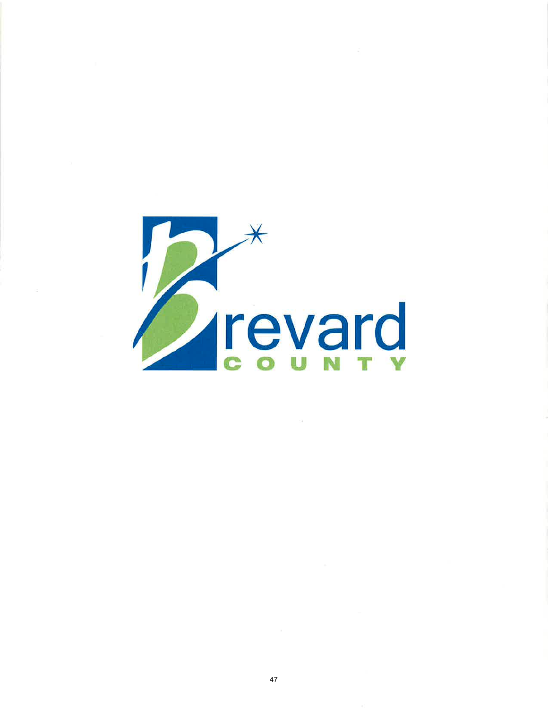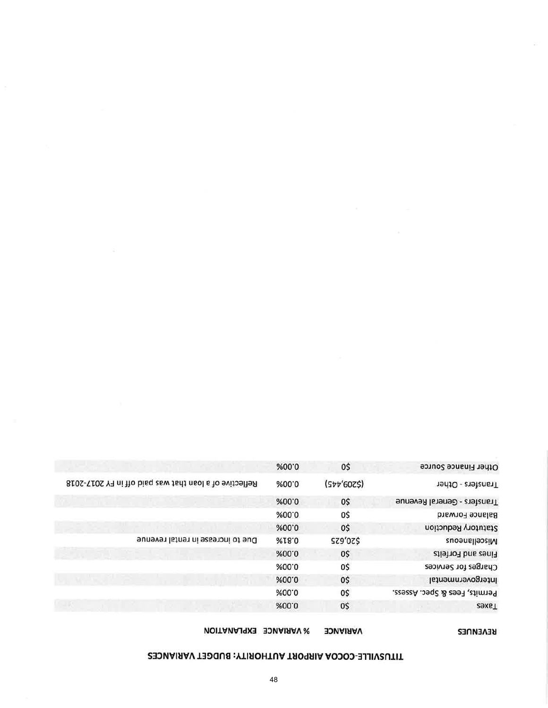# TITUSVILLE-COCOA AIRPORT AUTHORITY: BUDGET VARIANCES

VARIANCE % VARIANCE EXPLANATION

REVENUES

|                                                        | %00.0        | 0\$         | Other Finance Source          |
|--------------------------------------------------------|--------------|-------------|-------------------------------|
| Reflective of a loan that was paid off in FY 2017-2018 | %00'0        | (Str'60Z\$) | Transfers - Other             |
|                                                        | %00.0        | 0\$         | Transfers - General Revenue   |
|                                                        | %00.0        | 0\$         | <b>Balance Forward</b>        |
|                                                        | %00.0        | 0\$         | Statutory Reduction           |
| Due to increase in rental revenue                      | <b>%I8.0</b> | \$20,625    | Miscellaneous                 |
|                                                        | %00.0        | 0\$         | Fines and Forfeits            |
|                                                        | %00.0        | 0\$         | Charges for Services          |
|                                                        | %00.0        | 0\$         | Intergovernmental             |
|                                                        | %00.0        | 0\$         | Permits, Fees & Spec. Assess. |
|                                                        | %00.0        | 0\$         | <b>ZexeT</b>                  |
|                                                        |              |             |                               |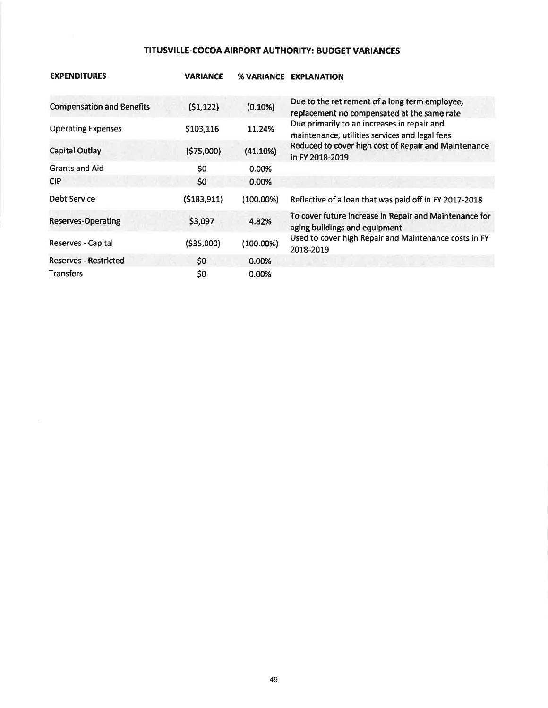## TITUSVILLE-COCOA AIRPORT AUTHORITY: BUDGET VARIANCES

| <b>EXPENDITURES</b>              | <b>VARIANCE</b> | <b>% VARIANCE</b> | <b>EXPLANATION</b>                                                                            |
|----------------------------------|-----------------|-------------------|-----------------------------------------------------------------------------------------------|
| <b>Compensation and Benefits</b> | (51, 122)       | $(0.10\%)$        | Due to the retirement of a long term employee,<br>replacement no compensated at the same rate |
| <b>Operating Expenses</b>        | \$103,116       | 11.24%            | Due primarily to an increases in repair and<br>maintenance, utilities services and legal fees |
| <b>Capital Outlay</b>            | (\$75,000)      | (41.10%)          | Reduced to cover high cost of Repair and Maintenance<br>in FY 2018-2019                       |
| <b>Grants and Aid</b>            | \$0             | 0.00%             |                                                                                               |
| <b>CIP</b>                       | \$0             | 0.00%             |                                                                                               |
| <b>Debt Service</b>              | (5183, 911)     | (100.00%)         | Reflective of a loan that was paid off in FY 2017-2018                                        |
| <b>Reserves-Operating</b>        | \$3,097         | 4.82%             | To cover future increase in Repair and Maintenance for<br>aging buildings and equipment       |
| Reserves - Capital               | ( \$35,000)     | $(100.00\%)$      | Used to cover high Repair and Maintenance costs in FY<br>2018-2019                            |
| <b>Reserves - Restricted</b>     | \$0             | 0.00%             |                                                                                               |
| <b>Transfers</b>                 | \$0             | 0.00%             |                                                                                               |